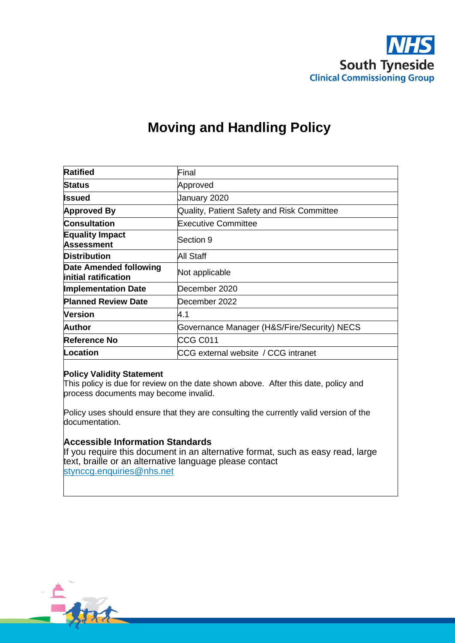

# **Moving and Handling Policy**

| <b>Ratified</b>                                | Final                                       |  |  |
|------------------------------------------------|---------------------------------------------|--|--|
| <b>Status</b>                                  | Approved                                    |  |  |
| Issued                                         | January 2020                                |  |  |
| <b>Approved By</b>                             | Quality, Patient Safety and Risk Committee  |  |  |
| <b>Consultation</b>                            | <b>Executive Committee</b>                  |  |  |
| <b>Equality Impact</b><br><b>Assessment</b>    | lSection 9                                  |  |  |
| <b>Distribution</b>                            | All Staff                                   |  |  |
| Date Amended following<br>initial ratification | Not applicable                              |  |  |
| <b>Implementation Date</b>                     | December 2020                               |  |  |
| <b>Planned Review Date</b>                     | December 2022                               |  |  |
| <b>Version</b>                                 | 4.1                                         |  |  |
| Author                                         | Governance Manager (H&S/Fire/Security) NECS |  |  |
| Reference No                                   | CCG C011                                    |  |  |
| Location                                       | CCG external website / CCG intranet         |  |  |

#### **Policy Validity Statement**

This policy is due for review on the date shown above. After this date, policy and process documents may become invalid.

Policy uses should ensure that they are consulting the currently valid version of the documentation.

#### **Accessible Information Standards**

If you require this document in an alternative format, such as easy read, large text, braille or an alternative language please contact [stynccg.enquiries@nhs.net](mailto:stynccg.enquiries@nhs.net)

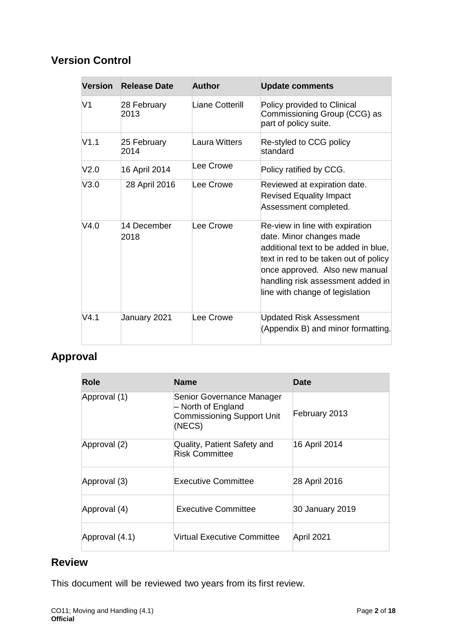# **Version Control**

| <b>Version</b> | <b>Release Date</b> | <b>Author</b>        | <b>Update comments</b>                                                                                                                                                                                                                                 |
|----------------|---------------------|----------------------|--------------------------------------------------------------------------------------------------------------------------------------------------------------------------------------------------------------------------------------------------------|
| V1             | 28 February<br>2013 | Liane Cotterill      | Policy provided to Clinical<br>Commissioning Group (CCG) as<br>part of policy suite.                                                                                                                                                                   |
| V1.1           | 25 February<br>2014 | <b>Laura Witters</b> | Re-styled to CCG policy<br>standard                                                                                                                                                                                                                    |
| V2.0           | 16 April 2014       | Lee Crowe            | Policy ratified by CCG.                                                                                                                                                                                                                                |
| V3.0           | 28 April 2016       | Lee Crowe            | Reviewed at expiration date.<br><b>Revised Equality Impact</b><br>Assessment completed.                                                                                                                                                                |
| V4.0           | 14 December<br>2018 | Lee Crowe            | Re-view in line with expiration<br>date. Minor changes made<br>additional text to be added in blue,<br>text in red to be taken out of policy<br>once approved. Also new manual<br>handling risk assessment added in<br>line with change of legislation |
| V4.1           | January 2021        | Lee Crowe            | <b>Updated Risk Assessment</b><br>(Appendix B) and minor formatting.                                                                                                                                                                                   |

# **Approval**

| Role           | <b>Name</b>                                                                                    | <b>Date</b>     |
|----------------|------------------------------------------------------------------------------------------------|-----------------|
| Approval (1)   | Senior Governance Manager<br>- North of England<br><b>Commissioning Support Unit</b><br>(NECS) | February 2013   |
| Approval (2)   | Quality, Patient Safety and<br><b>Risk Committee</b>                                           | 16 April 2014   |
| Approval (3)   | <b>Executive Committee</b>                                                                     | 28 April 2016   |
| Approval (4)   | <b>Executive Committee</b>                                                                     | 30 January 2019 |
| Approval (4.1) | Virtual Executive Committee                                                                    | April 2021      |

# **Review**

This document will be reviewed two years from its first review.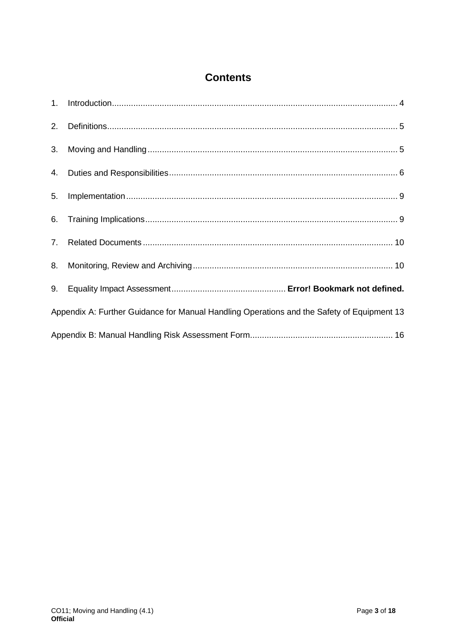# **Contents**

| 2. |                                                                                            |
|----|--------------------------------------------------------------------------------------------|
| 3. |                                                                                            |
|    |                                                                                            |
| 5. |                                                                                            |
| 6. |                                                                                            |
|    |                                                                                            |
| 8. |                                                                                            |
|    |                                                                                            |
|    | Appendix A: Further Guidance for Manual Handling Operations and the Safety of Equipment 13 |
|    |                                                                                            |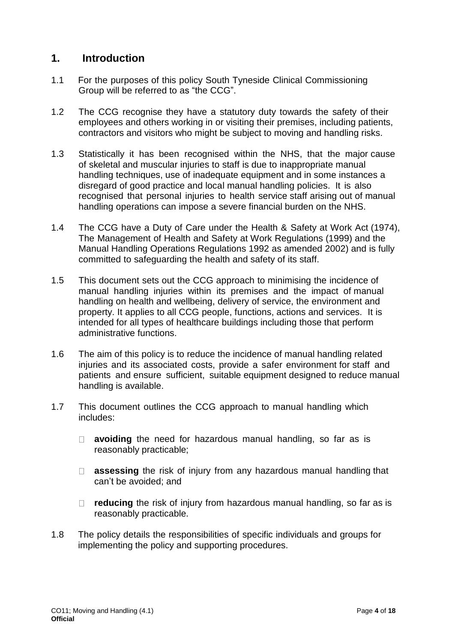# <span id="page-3-0"></span>**1. Introduction**

- 1.1 For the purposes of this policy South Tyneside Clinical Commissioning Group will be referred to as "the CCG".
- 1.2 The CCG recognise they have a statutory duty towards the safety of their employees and others working in or visiting their premises, including patients, contractors and visitors who might be subject to moving and handling risks.
- 1.3 Statistically it has been recognised within the NHS, that the major cause of skeletal and muscular injuries to staff is due to inappropriate manual handling techniques, use of inadequate equipment and in some instances a disregard of good practice and local manual handling policies. It is also recognised that personal injuries to health service staff arising out of manual handling operations can impose a severe financial burden on the NHS.
- 1.4 The CCG have a Duty of Care under the Health & Safety at Work Act (1974), The Management of Health and Safety at Work Regulations (1999) and the Manual Handling Operations Regulations 1992 as amended 2002) and is fully committed to safeguarding the health and safety of its staff.
- 1.5 This document sets out the CCG approach to minimising the incidence of manual handling injuries within its premises and the impact of manual handling on health and wellbeing, delivery of service, the environment and property. It applies to all CCG people, functions, actions and services. It is intended for all types of healthcare buildings including those that perform administrative functions.
- 1.6 The aim of this policy is to reduce the incidence of manual handling related injuries and its associated costs, provide a safer environment for staff and patients and ensure sufficient, suitable equipment designed to reduce manual handling is available.
- 1.7 This document outlines the CCG approach to manual handling which includes:
	- **avoiding** the need for hazardous manual handling, so far as is reasonably practicable;
	- **assessing** the risk of injury from any hazardous manual handling that can't be avoided; and
	- □ **reducing** the risk of injury from hazardous manual handling, so far as is reasonably practicable.
- 1.8 The policy details the responsibilities of specific individuals and groups for implementing the policy and supporting procedures.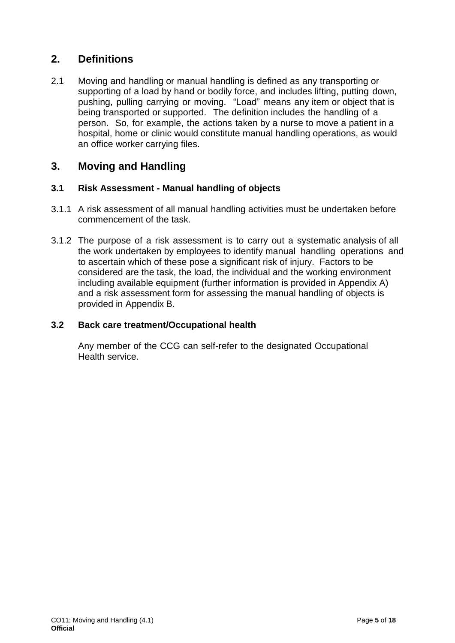# <span id="page-4-0"></span>**2. Definitions**

2.1 Moving and handling or manual handling is defined as any transporting or supporting of a load by hand or bodily force, and includes lifting, putting down, pushing, pulling carrying or moving. "Load" means any item or object that is being transported or supported. The definition includes the handling of a person. So, for example, the actions taken by a nurse to move a patient in a hospital, home or clinic would constitute manual handling operations, as would an office worker carrying files.

# <span id="page-4-1"></span>**3. Moving and Handling**

### **3.1 Risk Assessment - Manual handling of objects**

- 3.1.1 A risk assessment of all manual handling activities must be undertaken before commencement of the task.
- 3.1.2 The purpose of a risk assessment is to carry out a systematic analysis of all the work undertaken by employees to identify manual handling operations and to ascertain which of these pose a significant risk of injury. Factors to be considered are the task, the load, the individual and the working environment including available equipment (further information is provided in Appendix A) and a risk assessment form for assessing the manual handling of objects is provided in Appendix B.

### **3.2 Back care treatment/Occupational health**

Any member of the CCG can self-refer to the designated Occupational Health service.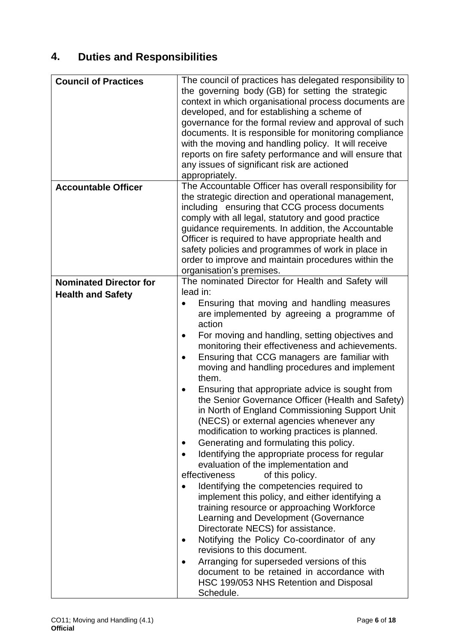# <span id="page-5-0"></span>**4. Duties and Responsibilities**

| <b>Council of Practices</b>                               | The council of practices has delegated responsibility to<br>the governing body (GB) for setting the strategic<br>context in which organisational process documents are<br>developed, and for establishing a scheme of<br>governance for the formal review and approval of such<br>documents. It is responsible for monitoring compliance<br>with the moving and handling policy. It will receive<br>reports on fire safety performance and will ensure that<br>any issues of significant risk are actioned<br>appropriately.                                                                                                                                                                                                                                                                                                                                                                                                                                                                                                                                                                                                                                                                                                                                                       |
|-----------------------------------------------------------|------------------------------------------------------------------------------------------------------------------------------------------------------------------------------------------------------------------------------------------------------------------------------------------------------------------------------------------------------------------------------------------------------------------------------------------------------------------------------------------------------------------------------------------------------------------------------------------------------------------------------------------------------------------------------------------------------------------------------------------------------------------------------------------------------------------------------------------------------------------------------------------------------------------------------------------------------------------------------------------------------------------------------------------------------------------------------------------------------------------------------------------------------------------------------------------------------------------------------------------------------------------------------------|
| <b>Accountable Officer</b>                                | The Accountable Officer has overall responsibility for<br>the strategic direction and operational management,<br>including ensuring that CCG process documents<br>comply with all legal, statutory and good practice<br>guidance requirements. In addition, the Accountable<br>Officer is required to have appropriate health and<br>safety policies and programmes of work in place in<br>order to improve and maintain procedures within the<br>organisation's premises.                                                                                                                                                                                                                                                                                                                                                                                                                                                                                                                                                                                                                                                                                                                                                                                                         |
| <b>Nominated Director for</b><br><b>Health and Safety</b> | The nominated Director for Health and Safety will<br>lead in:<br>Ensuring that moving and handling measures<br>are implemented by agreeing a programme of<br>action<br>For moving and handling, setting objectives and<br>monitoring their effectiveness and achievements.<br>Ensuring that CCG managers are familiar with<br>moving and handling procedures and implement<br>them.<br>Ensuring that appropriate advice is sought from<br>the Senior Governance Officer (Health and Safety)<br>in North of England Commissioning Support Unit<br>(NECS) or external agencies whenever any<br>modification to working practices is planned.<br>Generating and formulating this policy.<br>٠<br>Identifying the appropriate process for regular<br>evaluation of the implementation and<br>effectiveness<br>of this policy.<br>Identifying the competencies required to<br>implement this policy, and either identifying a<br>training resource or approaching Workforce<br>Learning and Development (Governance<br>Directorate NECS) for assistance.<br>Notifying the Policy Co-coordinator of any<br>revisions to this document.<br>Arranging for superseded versions of this<br>document to be retained in accordance with<br>HSC 199/053 NHS Retention and Disposal<br>Schedule. |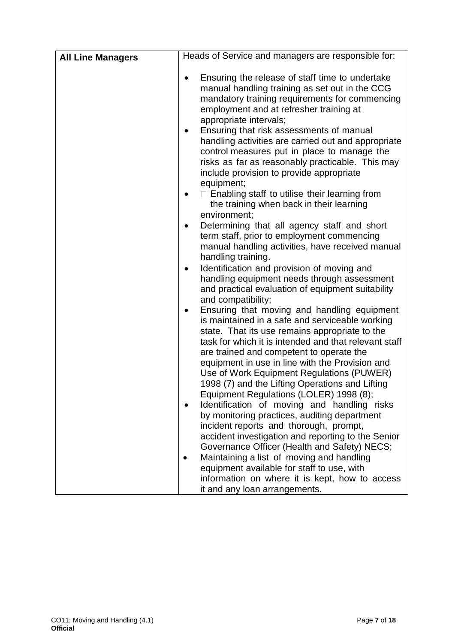| <b>All Line Managers</b> | Heads of Service and managers are responsible for:                                                                                                                                                                                                                                                                                                                                                            |
|--------------------------|---------------------------------------------------------------------------------------------------------------------------------------------------------------------------------------------------------------------------------------------------------------------------------------------------------------------------------------------------------------------------------------------------------------|
|                          | Ensuring the release of staff time to undertake<br>$\bullet$<br>manual handling training as set out in the CCG<br>mandatory training requirements for commencing<br>employment and at refresher training at<br>appropriate intervals;<br>Ensuring that risk assessments of manual<br>$\bullet$<br>handling activities are carried out and appropriate<br>control measures put in place to manage the          |
|                          | risks as far as reasonably practicable. This may<br>include provision to provide appropriate                                                                                                                                                                                                                                                                                                                  |
|                          | equipment;<br>$\Box$ Enabling staff to utilise their learning from<br>the training when back in their learning<br>environment;                                                                                                                                                                                                                                                                                |
|                          | Determining that all agency staff and short<br>term staff, prior to employment commencing<br>manual handling activities, have received manual<br>handling training.                                                                                                                                                                                                                                           |
|                          | Identification and provision of moving and<br>handling equipment needs through assessment<br>and practical evaluation of equipment suitability<br>and compatibility;                                                                                                                                                                                                                                          |
|                          | Ensuring that moving and handling equipment<br>٠<br>is maintained in a safe and serviceable working<br>state. That its use remains appropriate to the<br>task for which it is intended and that relevant staff<br>are trained and competent to operate the<br>equipment in use in line with the Provision and<br>Use of Work Equipment Regulations (PUWER)<br>1998 (7) and the Lifting Operations and Lifting |
|                          | Equipment Regulations (LOLER) 1998 (8);<br>Identification of moving and handling risks<br>by monitoring practices, auditing department<br>incident reports and thorough, prompt,<br>accident investigation and reporting to the Senior<br>Governance Officer (Health and Safety) NECS;                                                                                                                        |
|                          | Maintaining a list of moving and handling<br>equipment available for staff to use, with<br>information on where it is kept, how to access<br>it and any loan arrangements.                                                                                                                                                                                                                                    |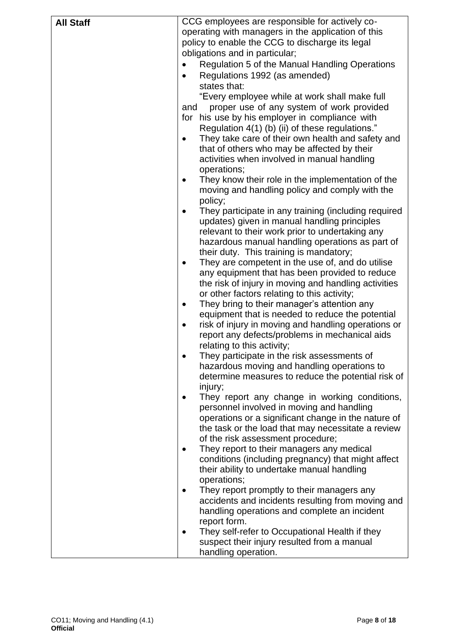| <b>All Staff</b> | CCG employees are responsible for actively co-                                                          |  |  |
|------------------|---------------------------------------------------------------------------------------------------------|--|--|
|                  | operating with managers in the application of this                                                      |  |  |
|                  | policy to enable the CCG to discharge its legal                                                         |  |  |
|                  | obligations and in particular;                                                                          |  |  |
|                  | Regulation 5 of the Manual Handling Operations<br>$\bullet$                                             |  |  |
|                  | Regulations 1992 (as amended)                                                                           |  |  |
|                  | states that:                                                                                            |  |  |
|                  | "Every employee while at work shall make full                                                           |  |  |
|                  | proper use of any system of work provided<br>and                                                        |  |  |
|                  | for his use by his employer in compliance with                                                          |  |  |
|                  | Regulation 4(1) (b) (ii) of these regulations."                                                         |  |  |
|                  | They take care of their own health and safety and<br>$\bullet$                                          |  |  |
|                  | that of others who may be affected by their                                                             |  |  |
|                  | activities when involved in manual handling                                                             |  |  |
|                  | operations;                                                                                             |  |  |
|                  | They know their role in the implementation of the                                                       |  |  |
|                  | moving and handling policy and comply with the                                                          |  |  |
|                  | policy;                                                                                                 |  |  |
|                  | They participate in any training (including required                                                    |  |  |
|                  | updates) given in manual handling principles                                                            |  |  |
|                  | relevant to their work prior to undertaking any                                                         |  |  |
|                  | hazardous manual handling operations as part of                                                         |  |  |
|                  | their duty. This training is mandatory;                                                                 |  |  |
|                  | They are competent in the use of, and do utilise                                                        |  |  |
|                  | any equipment that has been provided to reduce                                                          |  |  |
|                  | the risk of injury in moving and handling activities                                                    |  |  |
|                  | or other factors relating to this activity;                                                             |  |  |
|                  | They bring to their manager's attention any<br>٠                                                        |  |  |
|                  | equipment that is needed to reduce the potential<br>risk of injury in moving and handling operations or |  |  |
|                  | report any defects/problems in mechanical aids                                                          |  |  |
|                  | relating to this activity;                                                                              |  |  |
|                  | They participate in the risk assessments of                                                             |  |  |
|                  | hazardous moving and handling operations to                                                             |  |  |
|                  | determine measures to reduce the potential risk of                                                      |  |  |
|                  | injury;                                                                                                 |  |  |
|                  | They report any change in working conditions,                                                           |  |  |
|                  | personnel involved in moving and handling                                                               |  |  |
|                  | operations or a significant change in the nature of                                                     |  |  |
|                  | the task or the load that may necessitate a review                                                      |  |  |
|                  | of the risk assessment procedure;                                                                       |  |  |
|                  | They report to their managers any medical                                                               |  |  |
|                  | conditions (including pregnancy) that might affect                                                      |  |  |
|                  | their ability to undertake manual handling                                                              |  |  |
|                  | operations;                                                                                             |  |  |
|                  | They report promptly to their managers any                                                              |  |  |
|                  | accidents and incidents resulting from moving and                                                       |  |  |
|                  | handling operations and complete an incident                                                            |  |  |
|                  | report form.                                                                                            |  |  |
|                  | They self-refer to Occupational Health if they                                                          |  |  |
|                  | suspect their injury resulted from a manual                                                             |  |  |
|                  | handling operation.                                                                                     |  |  |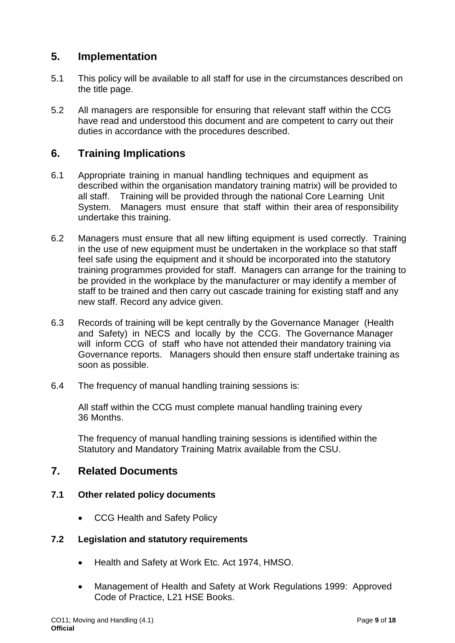# <span id="page-8-0"></span>**5. Implementation**

- 5.1 This policy will be available to all staff for use in the circumstances described on the title page.
- 5.2 All managers are responsible for ensuring that relevant staff within the CCG have read and understood this document and are competent to carry out their duties in accordance with the procedures described.

# <span id="page-8-1"></span>**6. Training Implications**

- 6.1 Appropriate training in manual handling techniques and equipment as described within the organisation mandatory training matrix) will be provided to all staff. Training will be provided through the national Core Learning Unit System. Managers must ensure that staff within their area of responsibility undertake this training.
- 6.2 Managers must ensure that all new lifting equipment is used correctly. Training in the use of new equipment must be undertaken in the workplace so that staff feel safe using the equipment and it should be incorporated into the statutory training programmes provided for staff. Managers can arrange for the training to be provided in the workplace by the manufacturer or may identify a member of staff to be trained and then carry out cascade training for existing staff and any new staff. Record any advice given.
- 6.3 Records of training will be kept centrally by the Governance Manager (Health and Safety) in NECS and locally by the CCG. The Governance Manager will inform CCG of staff who have not attended their mandatory training via Governance reports. Managers should then ensure staff undertake training as soon as possible.
- 6.4 The frequency of manual handling training sessions is:

All staff within the CCG must complete manual handling training every 36 Months.

The frequency of manual handling training sessions is identified within the Statutory and Mandatory Training Matrix available from the CSU.

# <span id="page-8-2"></span>**7. Related Documents**

### **7.1 Other related policy documents**

• CCG Health and Safety Policy

### **7.2 Legislation and statutory requirements**

- Health and Safety at Work Etc. Act 1974, HMSO.
- Management of Health and Safety at Work Regulations 1999: Approved Code of Practice, L21 HSE Books.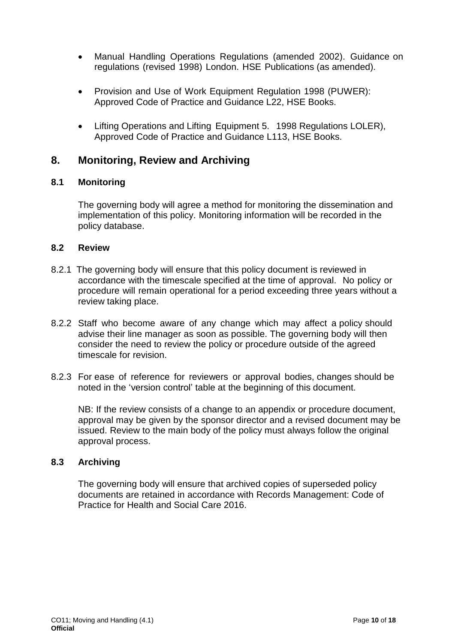- Manual Handling Operations Regulations (amended 2002). Guidance on regulations (revised 1998) London. HSE Publications (as amended).
- Provision and Use of Work Equipment Regulation 1998 (PUWER): Approved Code of Practice and Guidance L22, HSE Books.
- Lifting Operations and Lifting Equipment 5. 1998 Regulations LOLER), Approved Code of Practice and Guidance L113, HSE Books.

# <span id="page-9-0"></span>**8. Monitoring, Review and Archiving**

### **8.1 Monitoring**

The governing body will agree a method for monitoring the dissemination and implementation of this policy. Monitoring information will be recorded in the policy database.

#### **8.2 Review**

- 8.2.1 The governing body will ensure that this policy document is reviewed in accordance with the timescale specified at the time of approval. No policy or procedure will remain operational for a period exceeding three years without a review taking place.
- 8.2.2 Staff who become aware of any change which may affect a policy should advise their line manager as soon as possible. The governing body will then consider the need to review the policy or procedure outside of the agreed timescale for revision.
- 8.2.3 For ease of reference for reviewers or approval bodies, changes should be noted in the 'version control' table at the beginning of this document.

NB: If the review consists of a change to an appendix or procedure document, approval may be given by the sponsor director and a revised document may be issued. Review to the main body of the policy must always follow the original approval process.

#### **8.3 Archiving**

The governing body will ensure that archived copies of superseded policy documents are retained in accordance with Records Management: Code of Practice for Health and Social Care 2016.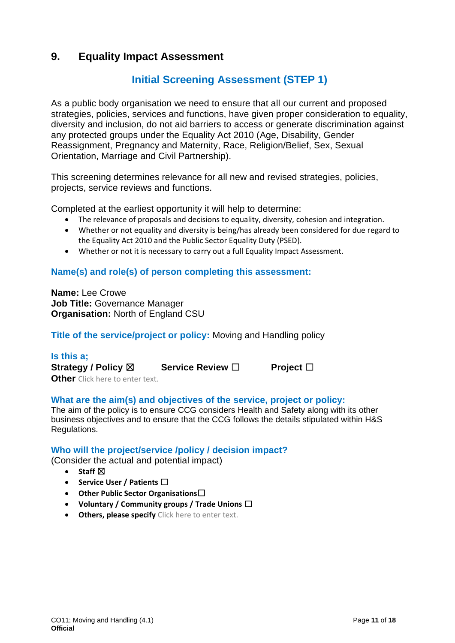# **9. Equality Impact Assessment**

# **Initial Screening Assessment (STEP 1)**

As a public body organisation we need to ensure that all our current and proposed strategies, policies, services and functions, have given proper consideration to equality, diversity and inclusion, do not aid barriers to access or generate discrimination against any protected groups under the Equality Act 2010 (Age, Disability, Gender Reassignment, Pregnancy and Maternity, Race, Religion/Belief, Sex, Sexual Orientation, Marriage and Civil Partnership).

This screening determines relevance for all new and revised strategies, policies, projects, service reviews and functions.

Completed at the earliest opportunity it will help to determine:

- The relevance of proposals and decisions to equality, diversity, cohesion and integration.
- Whether or not equality and diversity is being/has already been considered for due regard to the Equality Act 2010 and the Public Sector Equality Duty (PSED).
- Whether or not it is necessary to carry out a full Equality Impact Assessment.

### **Name(s) and role(s) of person completing this assessment:**

**Name:** Lee Crowe **Job Title:** Governance Manager **Organisation:** North of England CSU

**Title of the service/project or policy:** Moving and Handling policy

**Is this a; Strategy / Policy** ☒ **Service Review** ☐ **Project** ☐ **Other** Click here to enter text.

### **What are the aim(s) and objectives of the service, project or policy:**

The aim of the policy is to ensure CCG considers Health and Safety along with its other business objectives and to ensure that the CCG follows the details stipulated within H&S Regulations.

### **Who will the project/service /policy / decision impact?**

(Consider the actual and potential impact)

- Staff **⊠**
- **Service User / Patients** ☐
- **Other Public Sector Organisations**☐
- **Voluntary / Community groups / Trade Unions** ☐
- **Others, please specify** Click here to enter text.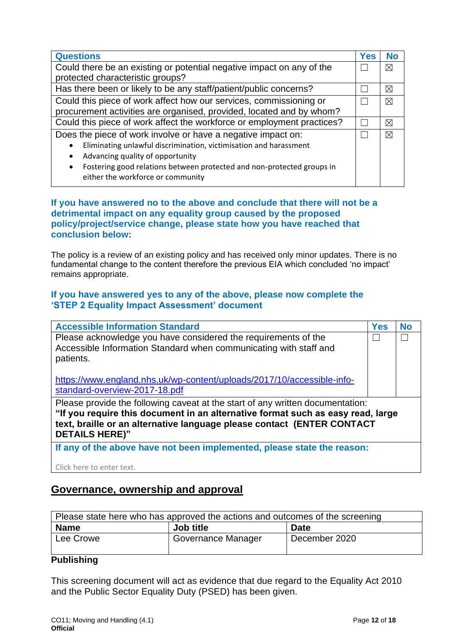| <b>Questions</b>                                                            | <b>Yes</b> | <b>No</b>   |
|-----------------------------------------------------------------------------|------------|-------------|
| Could there be an existing or potential negative impact on any of the       |            |             |
| protected characteristic groups?                                            |            |             |
| Has there been or likely to be any staff/patient/public concerns?           |            | ⊠           |
| Could this piece of work affect how our services, commissioning or          |            | ⊠           |
| procurement activities are organised, provided, located and by whom?        |            |             |
| Could this piece of work affect the workforce or employment practices?      |            | ⊠           |
| Does the piece of work involve or have a negative impact on:                |            | $\boxtimes$ |
| Eliminating unlawful discrimination, victimisation and harassment           |            |             |
| Advancing quality of opportunity                                            |            |             |
| Fostering good relations between protected and non-protected groups in<br>٠ |            |             |
| either the workforce or community                                           |            |             |

### **If you have answered no to the above and conclude that there will not be a detrimental impact on any equality group caused by the proposed policy/project/service change, please state how you have reached that conclusion below:**

The policy is a review of an existing policy and has received only minor updates. There is no fundamental change to the content therefore the previous EIA which concluded 'no impact' remains appropriate.

#### **If you have answered yes to any of the above, please now complete the 'STEP 2 Equality Impact Assessment' document**

| <b>Accessible Information Standard</b>                                                                                                                                                                                                                               | <b>Yes</b> | <b>No</b> |
|----------------------------------------------------------------------------------------------------------------------------------------------------------------------------------------------------------------------------------------------------------------------|------------|-----------|
| Please acknowledge you have considered the requirements of the<br>Accessible Information Standard when communicating with staff and<br>patients.                                                                                                                     |            |           |
| https://www.england.nhs.uk/wp-content/uploads/2017/10/accessible-info-<br>standard-overview-2017-18.pdf                                                                                                                                                              |            |           |
| Please provide the following caveat at the start of any written documentation:<br>"If you require this document in an alternative format such as easy read, large<br>text, braille or an alternative language please contact (ENTER CONTACT<br><b>DETAILS HERE)"</b> |            |           |
| If any of the above have not been implemented, please state the reason:                                                                                                                                                                                              |            |           |

Click here to enter text.

# **Governance, ownership and approval**

| Please state here who has approved the actions and outcomes of the screening |                    |               |  |  |  |
|------------------------------------------------------------------------------|--------------------|---------------|--|--|--|
| Job title<br><b>Name</b><br><b>Date</b>                                      |                    |               |  |  |  |
| Lee Crowe                                                                    | Governance Manager | December 2020 |  |  |  |

### **Publishing**

This screening document will act as evidence that due regard to the Equality Act 2010 and the Public Sector Equality Duty (PSED) has been given.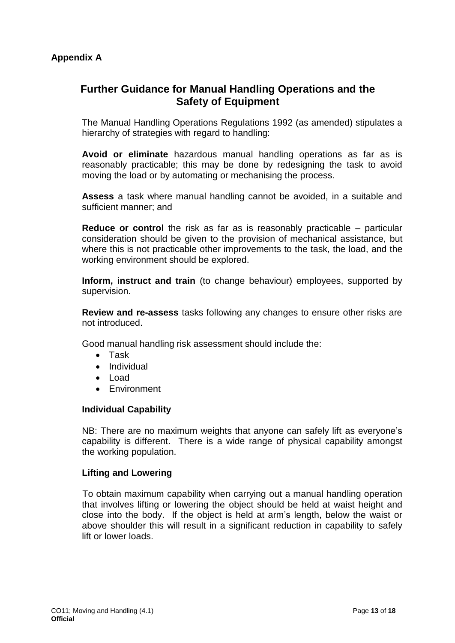# <span id="page-12-1"></span><span id="page-12-0"></span>**Further Guidance for Manual Handling Operations and the Safety of Equipment**

The Manual Handling Operations Regulations 1992 (as amended) stipulates a hierarchy of strategies with regard to handling:

**Avoid or eliminate** hazardous manual handling operations as far as is reasonably practicable; this may be done by redesigning the task to avoid moving the load or by automating or mechanising the process.

**Assess** a task where manual handling cannot be avoided, in a suitable and sufficient manner; and

**Reduce or control** the risk as far as is reasonably practicable – particular consideration should be given to the provision of mechanical assistance, but where this is not practicable other improvements to the task, the load, and the working environment should be explored.

**Inform, instruct and train** (to change behaviour) employees, supported by supervision.

**Review and re-assess** tasks following any changes to ensure other risks are not introduced.

Good manual handling risk assessment should include the:

- Task
- Individual
- Load
- Environment

#### **Individual Capability**

NB: There are no maximum weights that anyone can safely lift as everyone's capability is different. There is a wide range of physical capability amongst the working population.

#### **Lifting and Lowering**

To obtain maximum capability when carrying out a manual handling operation that involves lifting or lowering the object should be held at waist height and close into the body. If the object is held at arm's length, below the waist or above shoulder this will result in a significant reduction in capability to safely lift or lower loads.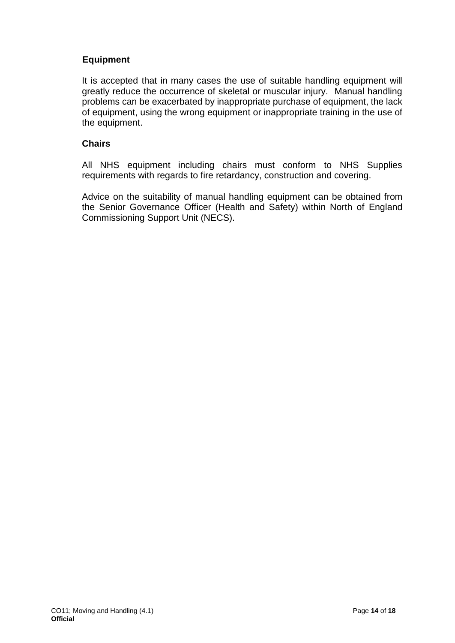### **Equipment**

It is accepted that in many cases the use of suitable handling equipment will greatly reduce the occurrence of skeletal or muscular injury. Manual handling problems can be exacerbated by inappropriate purchase of equipment, the lack of equipment, using the wrong equipment or inappropriate training in the use of the equipment.

### **Chairs**

All NHS equipment including chairs must conform to NHS Supplies requirements with regards to fire retardancy, construction and covering.

Advice on the suitability of manual handling equipment can be obtained from the Senior Governance Officer (Health and Safety) within North of England Commissioning Support Unit (NECS).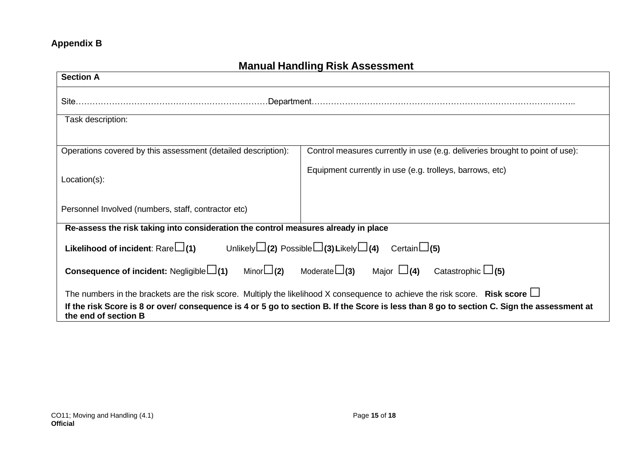# **Appendix B**

# **Manual Handling Risk Assessment**

<span id="page-14-0"></span>

| <b>Section A</b>                                                                                                                                                   |                                                                              |  |  |  |
|--------------------------------------------------------------------------------------------------------------------------------------------------------------------|------------------------------------------------------------------------------|--|--|--|
|                                                                                                                                                                    |                                                                              |  |  |  |
| Task description:                                                                                                                                                  |                                                                              |  |  |  |
|                                                                                                                                                                    |                                                                              |  |  |  |
| Operations covered by this assessment (detailed description):                                                                                                      | Control measures currently in use (e.g. deliveries brought to point of use): |  |  |  |
| Location(s):                                                                                                                                                       | Equipment currently in use (e.g. trolleys, barrows, etc)                     |  |  |  |
| Personnel Involved (numbers, staff, contractor etc)                                                                                                                |                                                                              |  |  |  |
| Re-assess the risk taking into consideration the control measures already in place                                                                                 |                                                                              |  |  |  |
| <b>Likelihood of incident:</b> Rare $\Box(1)$ Unlikely $\Box(2)$ Possible $\Box(3)$ Likely $\Box(4)$ Certain $\Box(5)$                                             |                                                                              |  |  |  |
| <b>Consequence of incident:</b> Negligible $\Box(1)$ Minor $\Box(2)$ Moderate $\Box(3)$ Major $\Box(4)$ Catastrophic $\Box(5)$                                     |                                                                              |  |  |  |
| The numbers in the brackets are the risk score. Multiply the likelihood X consequence to achieve the risk score. Risk score $\Box$                                 |                                                                              |  |  |  |
| If the risk Score is 8 or over/ consequence is 4 or 5 go to section B. If the Score is less than 8 go to section C. Sign the assessment at<br>the end of section B |                                                                              |  |  |  |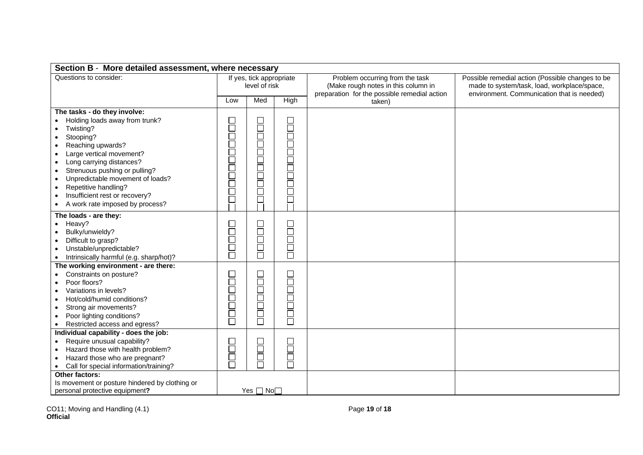| Section B - More detailed assessment, where necessary                                                                                                                                                                                                                                                                                                                                                    |                                           |              |                 |                                                                                                                        |                                                                                                                                               |
|----------------------------------------------------------------------------------------------------------------------------------------------------------------------------------------------------------------------------------------------------------------------------------------------------------------------------------------------------------------------------------------------------------|-------------------------------------------|--------------|-----------------|------------------------------------------------------------------------------------------------------------------------|-----------------------------------------------------------------------------------------------------------------------------------------------|
| Questions to consider:                                                                                                                                                                                                                                                                                                                                                                                   | If yes, tick appropriate<br>level of risk |              |                 | Problem occurring from the task<br>(Make rough notes in this column in<br>preparation for the possible remedial action | Possible remedial action (Possible changes to be<br>made to system/task, load, workplace/space,<br>environment. Communication that is needed) |
|                                                                                                                                                                                                                                                                                                                                                                                                          | Low                                       | Med          | High            | taken)                                                                                                                 |                                                                                                                                               |
| The tasks - do they involve:<br>Holding loads away from trunk?<br>Twisting?<br>Stooping?<br>Reaching upwards?<br>Large vertical movement?<br>$\bullet$<br>Long carrying distances?<br>$\bullet$<br>Strenuous pushing or pulling?<br>$\bullet$<br>Unpredictable movement of loads?<br>$\bullet$<br>Repetitive handling?<br>$\bullet$<br>Insufficient rest or recovery?<br>A work rate imposed by process? | 00000000000<br>ŏ                          | 00000000000  | 00000000000     |                                                                                                                        |                                                                                                                                               |
| The loads - are they:<br>Heavy?<br>Bulky/unwieldy?<br>Difficult to grasp?<br>Unstable/unpredictable?<br>Intrinsically harmful (e.g. sharp/hot)?                                                                                                                                                                                                                                                          | 1000<br>1000                              | <b>HOODE</b> | 1000<br>1000    |                                                                                                                        |                                                                                                                                               |
| The working environment - are there:<br>Constraints on posture?<br>$\bullet$<br>Poor floors?<br>Variations in levels?<br>$\bullet$<br>Hot/cold/humid conditions?<br>Strong air movements?<br>$\bullet$<br>Poor lighting conditions?<br>Restricted access and egress?                                                                                                                                     | <b>Proper</b>                             | 100000       | <b>Property</b> |                                                                                                                        |                                                                                                                                               |
| Individual capability - does the job:<br>Require unusual capability?<br>Hazard those with health problem?<br>Hazard those who are pregnant?<br>Call for special information/training?<br>$\bullet$                                                                                                                                                                                                       | 님<br>금                                    | u<br>H       | H<br>H          |                                                                                                                        |                                                                                                                                               |
| Other factors:<br>Is movement or posture hindered by clothing or<br>personal protective equipment?                                                                                                                                                                                                                                                                                                       |                                           | Yes □ No     |                 |                                                                                                                        |                                                                                                                                               |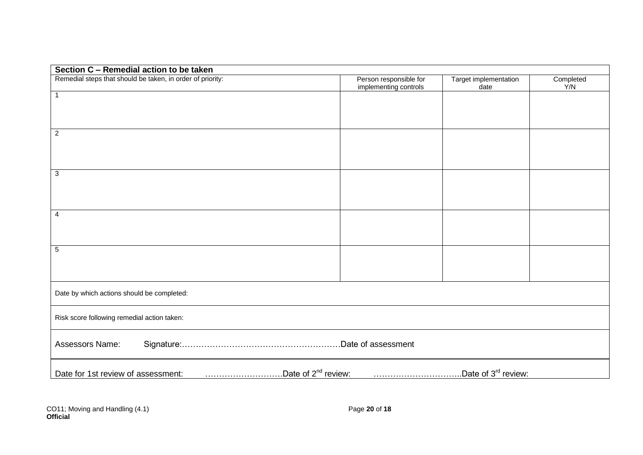| Section C - Remedial action to be taken                                                                  |                                                 |                               |                  |
|----------------------------------------------------------------------------------------------------------|-------------------------------------------------|-------------------------------|------------------|
| Remedial steps that should be taken, in order of priority:                                               | Person responsible for<br>implementing controls | Target implementation<br>date | Completed<br>Y/N |
| $\mathbf{1}$                                                                                             |                                                 |                               |                  |
|                                                                                                          |                                                 |                               |                  |
| $\overline{2}$                                                                                           |                                                 |                               |                  |
|                                                                                                          |                                                 |                               |                  |
|                                                                                                          |                                                 |                               |                  |
| $\overline{3}$                                                                                           |                                                 |                               |                  |
|                                                                                                          |                                                 |                               |                  |
|                                                                                                          |                                                 |                               |                  |
| 4                                                                                                        |                                                 |                               |                  |
|                                                                                                          |                                                 |                               |                  |
| $\overline{5}$                                                                                           |                                                 |                               |                  |
|                                                                                                          |                                                 |                               |                  |
|                                                                                                          |                                                 |                               |                  |
| Date by which actions should be completed:                                                               |                                                 |                               |                  |
| Risk score following remedial action taken:                                                              |                                                 |                               |                  |
| Assessors Name:                                                                                          |                                                 |                               |                  |
| Date of 2 <sup>nd</sup> review:<br>Date of 3 <sup>rd</sup> review:<br>Date for 1st review of assessment: |                                                 |                               |                  |